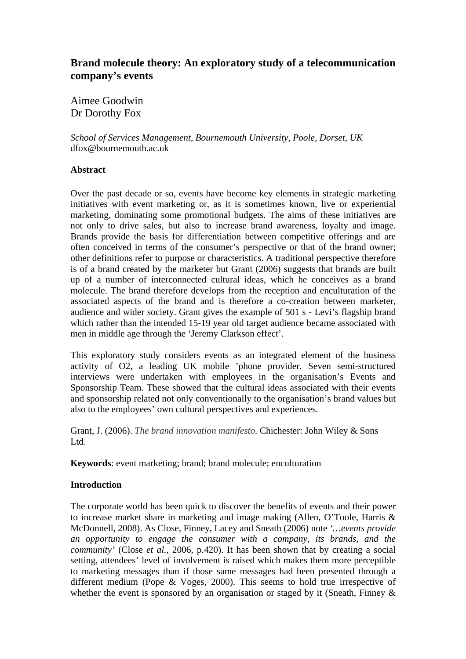# **Brand molecule theory: An exploratory study of a telecommunication company's events**

Aimee Goodwin Dr Dorothy Fox

*School of Services Management, Bournemouth University, Poole, Dorset, UK*  dfox@bournemouth.ac.uk

# **Abstract**

Over the past decade or so, events have become key elements in strategic marketing initiatives with event marketing or, as it is sometimes known, live or experiential marketing, dominating some promotional budgets. The aims of these initiatives are not only to drive sales, but also to increase brand awareness, loyalty and image. Brands provide the basis for differentiation between competitive offerings and are often conceived in terms of the consumer's perspective or that of the brand owner; other definitions refer to purpose or characteristics. A traditional perspective therefore is of a brand created by the marketer but Grant (2006) suggests that brands are built up of a number of interconnected cultural ideas, which he conceives as a brand molecule. The brand therefore develops from the reception and enculturation of the associated aspects of the brand and is therefore a co-creation between marketer, audience and wider society. Grant gives the example of 501 s - Levi's flagship brand which rather than the intended 15-19 year old target audience became associated with men in middle age through the 'Jeremy Clarkson effect'.

This exploratory study considers events as an integrated element of the business activity of O2, a leading UK mobile 'phone provider. Seven semi-structured interviews were undertaken with employees in the organisation's Events and Sponsorship Team. These showed that the cultural ideas associated with their events and sponsorship related not only conventionally to the organisation's brand values but also to the employees' own cultural perspectives and experiences.

Grant, J. (2006). *The brand innovation manifesto*. Chichester: John Wiley & Sons Ltd.

**Keywords**: event marketing; brand; brand molecule; enculturation

# **Introduction**

The corporate world has been quick to discover the benefits of events and their power to increase market share in marketing and image making (Allen, O'Toole, Harris & McDonnell, 2008). As Close, Finney, Lacey and Sneath (2006) note *'…events provide an opportunity to engage the consumer with a company, its brands, and the community'* (Close *et al.,* 2006, p.420). It has been shown that by creating a social setting, attendees' level of involvement is raised which makes them more perceptible to marketing messages than if those same messages had been presented through a different medium (Pope & Voges, 2000). This seems to hold true irrespective of whether the event is sponsored by an organisation or staged by it (Sneath, Finney  $\&$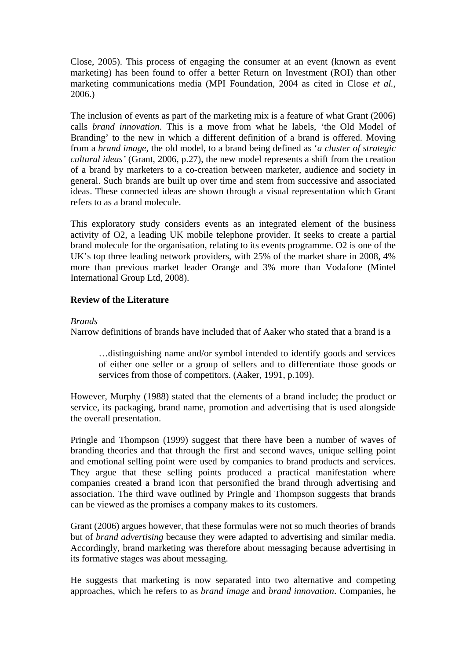Close, 2005). This process of engaging the consumer at an event (known as event marketing) has been found to offer a better Return on Investment (ROI) than other marketing communications media (MPI Foundation, 2004 as cited in Close *et al.,*  2006.)

The inclusion of events as part of the marketing mix is a feature of what Grant (2006) calls *brand innovation*. This is a move from what he labels, 'the Old Model of Branding' to the new in which a different definition of a brand is offered. Moving from a *brand image,* the old model, to a brand being defined as '*a cluster of strategic cultural ideas'* (Grant, 2006, p.27), the new model represents a shift from the creation of a brand by marketers to a co-creation between marketer, audience and society in general. Such brands are built up over time and stem from successive and associated ideas. These connected ideas are shown through a visual representation which Grant refers to as a brand molecule.

This exploratory study considers events as an integrated element of the business activity of O2, a leading UK mobile telephone provider. It seeks to create a partial brand molecule for the organisation, relating to its events programme. O2 is one of the UK's top three leading network providers, with 25% of the market share in 2008, 4% more than previous market leader Orange and 3% more than Vodafone (Mintel International Group Ltd, 2008).

# **Review of the Literature**

#### *Brands*

Narrow definitions of brands have included that of Aaker who stated that a brand is a

…distinguishing name and/or symbol intended to identify goods and services of either one seller or a group of sellers and to differentiate those goods or services from those of competitors. (Aaker, 1991, p.109).

However, Murphy (1988) stated that the elements of a brand include; the product or service, its packaging, brand name, promotion and advertising that is used alongside the overall presentation.

Pringle and Thompson (1999) suggest that there have been a number of waves of branding theories and that through the first and second waves, unique selling point and emotional selling point were used by companies to brand products and services. They argue that these selling points produced a practical manifestation where companies created a brand icon that personified the brand through advertising and association. The third wave outlined by Pringle and Thompson suggests that brands can be viewed as the promises a company makes to its customers.

Grant (2006) argues however, that these formulas were not so much theories of brands but of *brand advertising* because they were adapted to advertising and similar media. Accordingly, brand marketing was therefore about messaging because advertising in its formative stages was about messaging.

He suggests that marketing is now separated into two alternative and competing approaches, which he refers to as *brand image* and *brand innovation*. Companies, he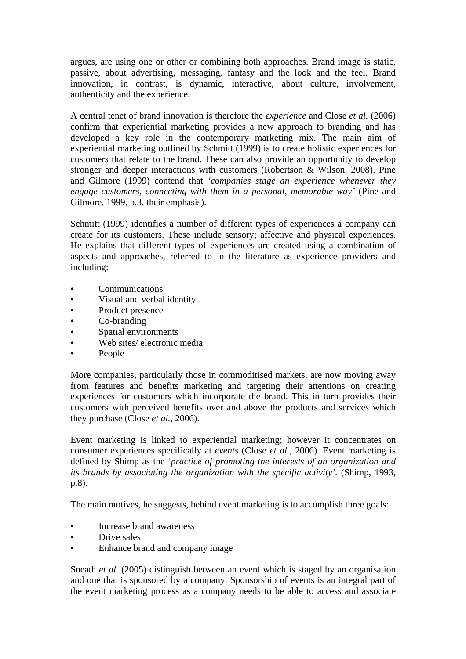argues, are using one or other or combining both approaches. Brand image is static, passive, about advertising, messaging, fantasy and the look and the feel. Brand innovation, in contrast, is dynamic, interactive, about culture, involvement, authenticity and the experience.

A central tenet of brand innovation is therefore the *experience* and Close *et al.* (2006) confirm that experiential marketing provides a new approach to branding and has developed a key role in the contemporary marketing mix. The main aim of experiential marketing outlined by Schmitt (1999) is to create holistic experiences for customers that relate to the brand. These can also provide an opportunity to develop stronger and deeper interactions with customers (Robertson & Wilson, 2008). Pine and Gilmore (1999) contend that *'companies stage an experience whenever they engage customers, connecting with them in a personal, memorable way'* (Pine and Gilmore, 1999, p.3, their emphasis).

Schmitt (1999) identifies a number of different types of experiences a company can create for its customers. These include sensory; affective and physical experiences. He explains that different types of experiences are created using a combination of aspects and approaches, referred to in the literature as experience providers and including:

- Communications
- Visual and verbal identity
- Product presence
- Co-branding
- Spatial environments
- Web sites/ electronic media
- People

More companies, particularly those in commoditised markets, are now moving away from features and benefits marketing and targeting their attentions on creating experiences for customers which incorporate the brand. This in turn provides their customers with perceived benefits over and above the products and services which they purchase (Close *et al.,* 2006).

Event marketing is linked to experiential marketing; however it concentrates on consumer experiences specifically at *events* (Close *et al.,* 2006). Event marketing is defined by Shimp as the '*practice of promoting the interests of an organization and its brands by associating the organization with the specific activity'.* (Shimp, 1993, p.8).

The main motives, he suggests, behind event marketing is to accomplish three goals:

- Increase brand awareness
- Drive sales
- Enhance brand and company image

Sneath *et al.* (2005) distinguish between an event which is staged by an organisation and one that is sponsored by a company. Sponsorship of events is an integral part of the event marketing process as a company needs to be able to access and associate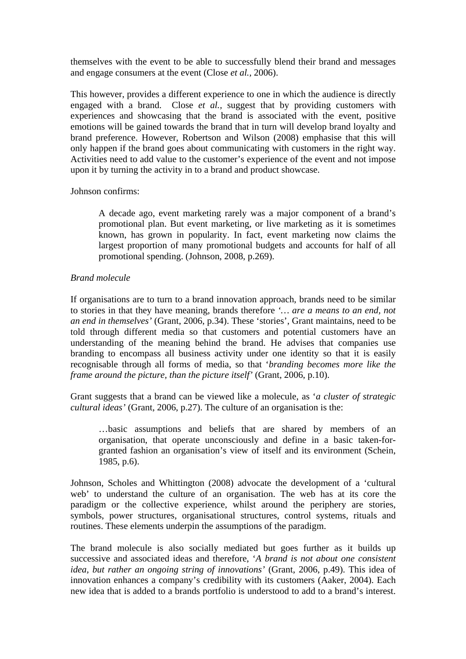themselves with the event to be able to successfully blend their brand and messages and engage consumers at the event (Close *et al.,* 2006).

This however, provides a different experience to one in which the audience is directly engaged with a brand. Close *et al.,* suggest that by providing customers with experiences and showcasing that the brand is associated with the event, positive emotions will be gained towards the brand that in turn will develop brand loyalty and brand preference. However, Robertson and Wilson (2008) emphasise that this will only happen if the brand goes about communicating with customers in the right way. Activities need to add value to the customer's experience of the event and not impose upon it by turning the activity in to a brand and product showcase.

### Johnson confirms:

A decade ago, event marketing rarely was a major component of a brand's promotional plan. But event marketing, or live marketing as it is sometimes known, has grown in popularity. In fact, event marketing now claims the largest proportion of many promotional budgets and accounts for half of all promotional spending. (Johnson, 2008, p.269).

# *Brand molecule*

If organisations are to turn to a brand innovation approach, brands need to be similar to stories in that they have meaning, brands therefore *'… are a means to an end, not an end in themselves'* (Grant, 2006, p.34). These 'stories', Grant maintains, need to be told through different media so that customers and potential customers have an understanding of the meaning behind the brand. He advises that companies use branding to encompass all business activity under one identity so that it is easily recognisable through all forms of media, so that '*branding becomes more like the frame around the picture, than the picture itself'* (Grant, 2006, p.10).

Grant suggests that a brand can be viewed like a molecule, as '*a cluster of strategic cultural ideas'* (Grant, 2006, p.27). The culture of an organisation is the:

…basic assumptions and beliefs that are shared by members of an organisation, that operate unconsciously and define in a basic taken-forgranted fashion an organisation's view of itself and its environment (Schein, 1985, p.6).

Johnson, Scholes and Whittington (2008) advocate the development of a 'cultural web' to understand the culture of an organisation. The web has at its core the paradigm or the collective experience, whilst around the periphery are stories, symbols, power structures, organisational structures, control systems, rituals and routines. These elements underpin the assumptions of the paradigm.

The brand molecule is also socially mediated but goes further as it builds up successive and associated ideas and therefore, '*A brand is not about one consistent idea, but rather an ongoing string of innovations'* (Grant, 2006, p.49). This idea of innovation enhances a company's credibility with its customers (Aaker, 2004). Each new idea that is added to a brands portfolio is understood to add to a brand's interest.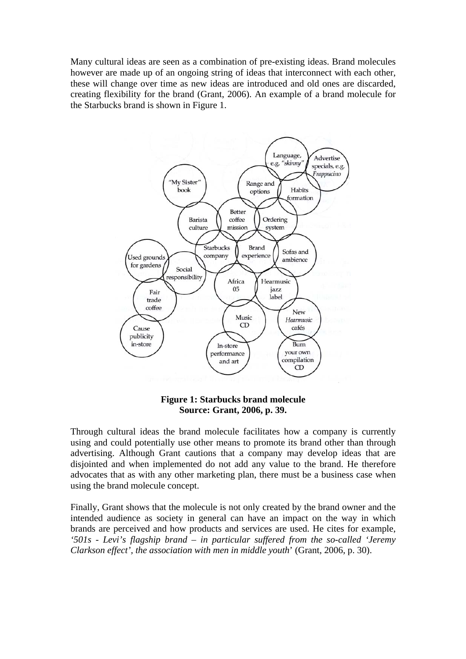Many cultural ideas are seen as a combination of pre-existing ideas. Brand molecules however are made up of an ongoing string of ideas that interconnect with each other, these will change over time as new ideas are introduced and old ones are discarded, creating flexibility for the brand (Grant, 2006). An example of a brand molecule for the Starbucks brand is shown in Figure 1.



# **Figure 1: Starbucks brand molecule Source: Grant, 2006, p. 39.**

Through cultural ideas the brand molecule facilitates how a company is currently using and could potentially use other means to promote its brand other than through advertising. Although Grant cautions that a company may develop ideas that are disjointed and when implemented do not add any value to the brand. He therefore advocates that as with any other marketing plan, there must be a business case when using the brand molecule concept.

Finally, Grant shows that the molecule is not only created by the brand owner and the intended audience as society in general can have an impact on the way in which brands are perceived and how products and services are used. He cites for example, *'501s - Levi's flagship brand – in particular suffered from the so-called 'Jeremy Clarkson effect', the association with men in middle youth*' (Grant, 2006, p. 30).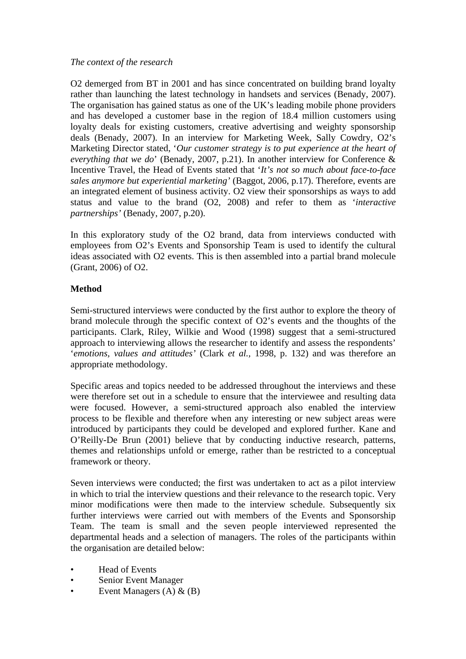# *The context of the research*

O2 demerged from BT in 2001 and has since concentrated on building brand loyalty rather than launching the latest technology in handsets and services (Benady, 2007). The organisation has gained status as one of the UK's leading mobile phone providers and has developed a customer base in the region of 18.4 million customers using loyalty deals for existing customers, creative advertising and weighty sponsorship deals (Benady, 2007). In an interview for Marketing Week, Sally Cowdry, O2's Marketing Director stated, '*Our customer strategy is to put experience at the heart of everything that we do*' (Benady, 2007, p.21). In another interview for Conference & Incentive Travel, the Head of Events stated that '*It's not so much about face-to-face sales anymore but experiential marketing'* (Baggot, 2006, p.17). Therefore, events are an integrated element of business activity. O2 view their sponsorships as ways to add status and value to the brand (O2, 2008) and refer to them as '*interactive partnerships'* (Benady, 2007, p.20).

In this exploratory study of the O2 brand, data from interviews conducted with employees from O2's Events and Sponsorship Team is used to identify the cultural ideas associated with O2 events. This is then assembled into a partial brand molecule (Grant, 2006) of O2.

# **Method**

Semi-structured interviews were conducted by the first author to explore the theory of brand molecule through the specific context of O2's events and the thoughts of the participants. Clark, Riley, Wilkie and Wood (1998) suggest that a semi-structured approach to interviewing allows the researcher to identify and assess the respondents' '*emotions, values and attitudes'* (Clark *et al.,* 1998, p. 132) and was therefore an appropriate methodology.

Specific areas and topics needed to be addressed throughout the interviews and these were therefore set out in a schedule to ensure that the interviewee and resulting data were focused. However, a semi-structured approach also enabled the interview process to be flexible and therefore when any interesting or new subject areas were introduced by participants they could be developed and explored further. Kane and O'Reilly-De Brun (2001) believe that by conducting inductive research, patterns, themes and relationships unfold or emerge, rather than be restricted to a conceptual framework or theory.

Seven interviews were conducted; the first was undertaken to act as a pilot interview in which to trial the interview questions and their relevance to the research topic. Very minor modifications were then made to the interview schedule. Subsequently six further interviews were carried out with members of the Events and Sponsorship Team. The team is small and the seven people interviewed represented the departmental heads and a selection of managers. The roles of the participants within the organisation are detailed below:

- Head of Events
- Senior Event Manager
- Event Managers (A) & (B)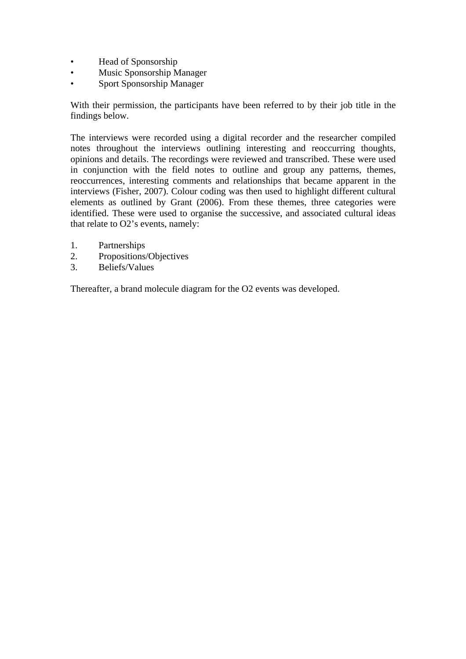- Head of Sponsorship
- Music Sponsorship Manager
- Sport Sponsorship Manager

With their permission, the participants have been referred to by their job title in the findings below.

The interviews were recorded using a digital recorder and the researcher compiled notes throughout the interviews outlining interesting and reoccurring thoughts, opinions and details. The recordings were reviewed and transcribed. These were used in conjunction with the field notes to outline and group any patterns, themes, reoccurrences, interesting comments and relationships that became apparent in the interviews (Fisher, 2007). Colour coding was then used to highlight different cultural elements as outlined by Grant (2006). From these themes, three categories were identified. These were used to organise the successive, and associated cultural ideas that relate to O2's events, namely:

- 1. Partnerships
- 2. Propositions/Objectives
- 3. Beliefs/Values

Thereafter, a brand molecule diagram for the O2 events was developed.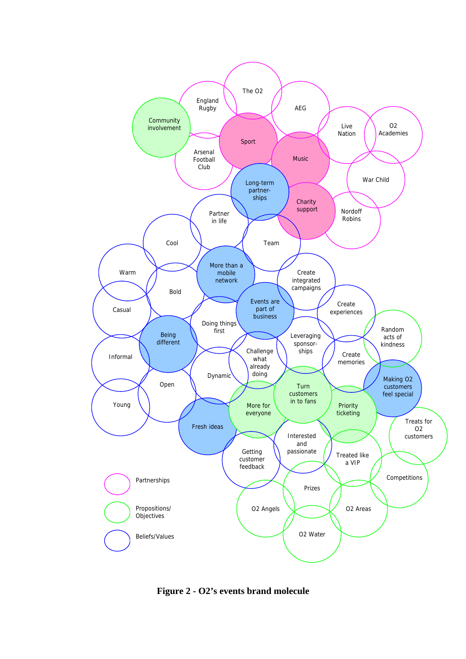

**Figure 2 - O2's events brand molecule**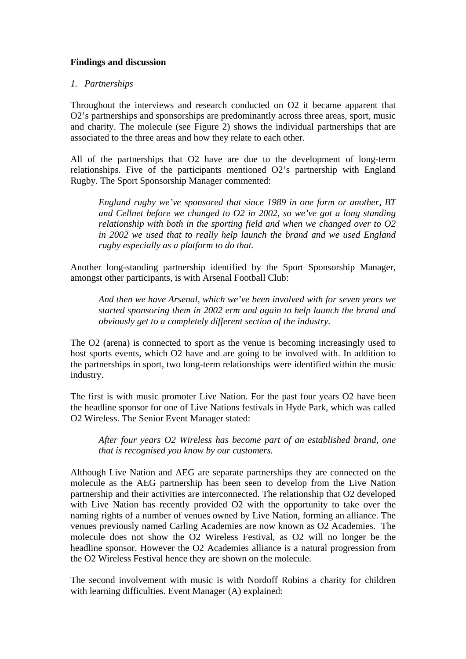# **Findings and discussion**

# *1. Partnerships*

Throughout the interviews and research conducted on O2 it became apparent that O2's partnerships and sponsorships are predominantly across three areas, sport, music and charity. The molecule (see Figure 2) shows the individual partnerships that are associated to the three areas and how they relate to each other.

All of the partnerships that O2 have are due to the development of long-term relationships. Five of the participants mentioned O2's partnership with England Rugby. The Sport Sponsorship Manager commented:

*England rugby we've sponsored that since 1989 in one form or another, BT and Cellnet before we changed to O2 in 2002, so we've got a long standing relationship with both in the sporting field and when we changed over to O2 in 2002 we used that to really help launch the brand and we used England rugby especially as a platform to do that.* 

Another long-standing partnership identified by the Sport Sponsorship Manager, amongst other participants, is with Arsenal Football Club:

*And then we have Arsenal, which we've been involved with for seven years we started sponsoring them in 2002 erm and again to help launch the brand and obviously get to a completely different section of the industry.* 

The O2 (arena) is connected to sport as the venue is becoming increasingly used to host sports events, which O2 have and are going to be involved with. In addition to the partnerships in sport, two long-term relationships were identified within the music industry.

The first is with music promoter Live Nation. For the past four years O2 have been the headline sponsor for one of Live Nations festivals in Hyde Park, which was called O2 Wireless. The Senior Event Manager stated:

*After four years O2 Wireless has become part of an established brand, one that is recognised you know by our customers.* 

Although Live Nation and AEG are separate partnerships they are connected on the molecule as the AEG partnership has been seen to develop from the Live Nation partnership and their activities are interconnected. The relationship that O2 developed with Live Nation has recently provided O2 with the opportunity to take over the naming rights of a number of venues owned by Live Nation, forming an alliance. The venues previously named Carling Academies are now known as O2 Academies. The molecule does not show the O2 Wireless Festival, as O2 will no longer be the headline sponsor. However the O2 Academies alliance is a natural progression from the O2 Wireless Festival hence they are shown on the molecule.

The second involvement with music is with Nordoff Robins a charity for children with learning difficulties. Event Manager (A) explained: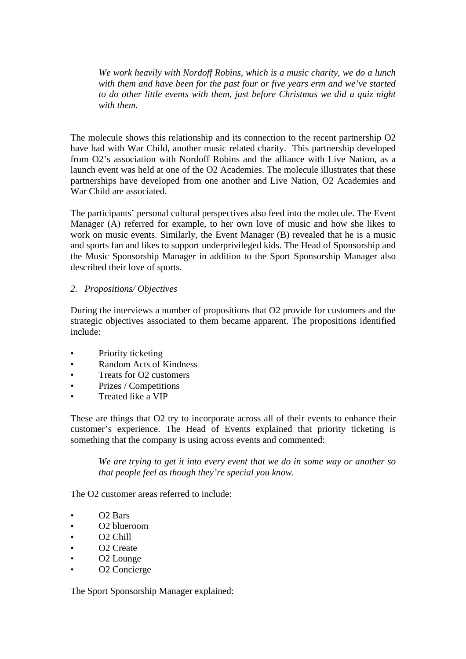*We work heavily with Nordoff Robins, which is a music charity, we do a lunch with them and have been for the past four or five years erm and we've started to do other little events with them, just before Christmas we did a quiz night with them.* 

The molecule shows this relationship and its connection to the recent partnership O2 have had with War Child, another music related charity. This partnership developed from O2's association with Nordoff Robins and the alliance with Live Nation, as a launch event was held at one of the O2 Academies. The molecule illustrates that these partnerships have developed from one another and Live Nation, O2 Academies and War Child are associated.

The participants' personal cultural perspectives also feed into the molecule. The Event Manager (A) referred for example, to her own love of music and how she likes to work on music events. Similarly, the Event Manager (B) revealed that he is a music and sports fan and likes to support underprivileged kids. The Head of Sponsorship and the Music Sponsorship Manager in addition to the Sport Sponsorship Manager also described their love of sports.

# *2. Propositions/ Objectives*

During the interviews a number of propositions that O2 provide for customers and the strategic objectives associated to them became apparent. The propositions identified include:

- Priority ticketing
- Random Acts of Kindness
- Treats for O2 customers
- Prizes / Competitions
- Treated like a VIP

These are things that O2 try to incorporate across all of their events to enhance their customer's experience. The Head of Events explained that priority ticketing is something that the company is using across events and commented:

*We are trying to get it into every event that we do in some way or another so that people feel as though they're special you know.* 

The O2 customer areas referred to include:

- O2 Bars
- O2 blueroom
- O2 Chill
- O2 Create
- O2 Lounge
- O2 Concierge

The Sport Sponsorship Manager explained: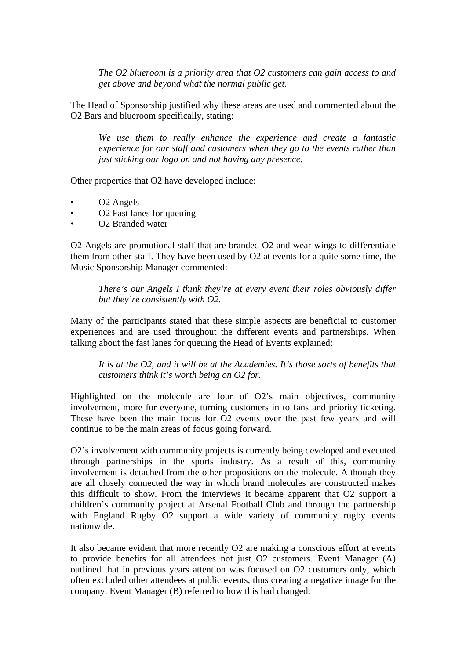*The O2 blueroom is a priority area that O2 customers can gain access to and get above and beyond what the normal public get.* 

The Head of Sponsorship justified why these areas are used and commented about the O2 Bars and blueroom specifically, stating:

*We use them to really enhance the experience and create a fantastic experience for our staff and customers when they go to the events rather than just sticking our logo on and not having any presence.* 

Other properties that O2 have developed include:

- O2 Angels
- O2 Fast lanes for queuing
- O2 Branded water

O2 Angels are promotional staff that are branded O2 and wear wings to differentiate them from other staff. They have been used by O2 at events for a quite some time, the Music Sponsorship Manager commented:

*There's our Angels I think they're at every event their roles obviously differ but they're consistently with O2.* 

Many of the participants stated that these simple aspects are beneficial to customer experiences and are used throughout the different events and partnerships. When talking about the fast lanes for queuing the Head of Events explained:

*It is at the O2, and it will be at the Academies. It's those sorts of benefits that customers think it's worth being on O2 for.* 

Highlighted on the molecule are four of O2's main objectives, community involvement, more for everyone, turning customers in to fans and priority ticketing. These have been the main focus for O2 events over the past few years and will continue to be the main areas of focus going forward.

O2's involvement with community projects is currently being developed and executed through partnerships in the sports industry. As a result of this, community involvement is detached from the other propositions on the molecule. Although they are all closely connected the way in which brand molecules are constructed makes this difficult to show. From the interviews it became apparent that O2 support a children's community project at Arsenal Football Club and through the partnership with England Rugby O2 support a wide variety of community rugby events nationwide.

It also became evident that more recently O2 are making a conscious effort at events to provide benefits for all attendees not just O2 customers. Event Manager (A) outlined that in previous years attention was focused on O2 customers only, which often excluded other attendees at public events, thus creating a negative image for the company. Event Manager (B) referred to how this had changed: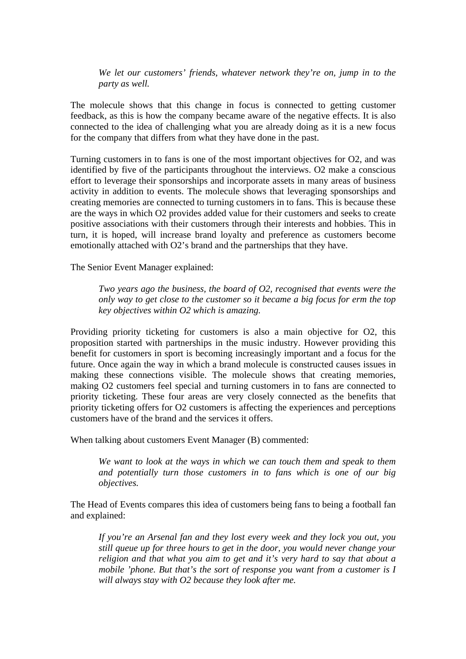*We let our customers' friends, whatever network they're on, jump in to the party as well.*

The molecule shows that this change in focus is connected to getting customer feedback, as this is how the company became aware of the negative effects. It is also connected to the idea of challenging what you are already doing as it is a new focus for the company that differs from what they have done in the past.

Turning customers in to fans is one of the most important objectives for O2, and was identified by five of the participants throughout the interviews. O2 make a conscious effort to leverage their sponsorships and incorporate assets in many areas of business activity in addition to events. The molecule shows that leveraging sponsorships and creating memories are connected to turning customers in to fans. This is because these are the ways in which O2 provides added value for their customers and seeks to create positive associations with their customers through their interests and hobbies. This in turn, it is hoped, will increase brand loyalty and preference as customers become emotionally attached with O2's brand and the partnerships that they have.

The Senior Event Manager explained:

*Two years ago the business, the board of O2, recognised that events were the only way to get close to the customer so it became a big focus for erm the top key objectives within O2 which is amazing.* 

Providing priority ticketing for customers is also a main objective for O2, this proposition started with partnerships in the music industry. However providing this benefit for customers in sport is becoming increasingly important and a focus for the future. Once again the way in which a brand molecule is constructed causes issues in making these connections visible. The molecule shows that creating memories, making O2 customers feel special and turning customers in to fans are connected to priority ticketing. These four areas are very closely connected as the benefits that priority ticketing offers for O2 customers is affecting the experiences and perceptions customers have of the brand and the services it offers.

When talking about customers Event Manager (B) commented:

*We want to look at the ways in which we can touch them and speak to them and potentially turn those customers in to fans which is one of our big objectives.* 

The Head of Events compares this idea of customers being fans to being a football fan and explained:

*If you're an Arsenal fan and they lost every week and they lock you out, you still queue up for three hours to get in the door, you would never change your religion and that what you aim to get and it's very hard to say that about a mobile 'phone. But that's the sort of response you want from a customer is I will always stay with O2 because they look after me.*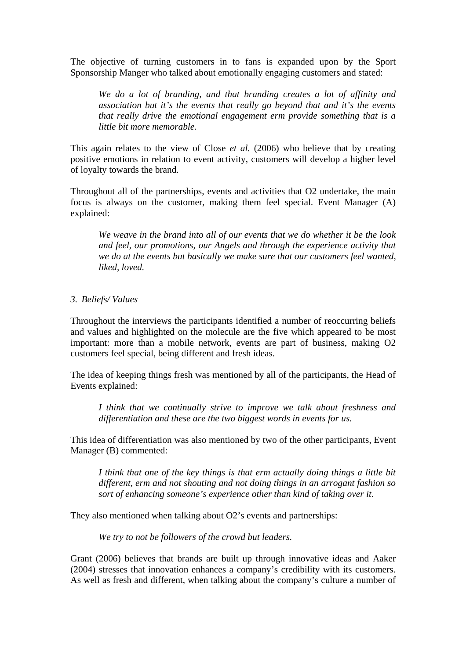The objective of turning customers in to fans is expanded upon by the Sport Sponsorship Manger who talked about emotionally engaging customers and stated:

*We do a lot of branding, and that branding creates a lot of affinity and association but it's the events that really go beyond that and it's the events that really drive the emotional engagement erm provide something that is a little bit more memorable.* 

This again relates to the view of Close *et al.* (2006) who believe that by creating positive emotions in relation to event activity, customers will develop a higher level of loyalty towards the brand.

Throughout all of the partnerships, events and activities that O2 undertake, the main focus is always on the customer, making them feel special. Event Manager (A) explained:

*We weave in the brand into all of our events that we do whether it be the look and feel, our promotions, our Angels and through the experience activity that we do at the events but basically we make sure that our customers feel wanted, liked, loved.* 

### *3. Beliefs/ Values*

Throughout the interviews the participants identified a number of reoccurring beliefs and values and highlighted on the molecule are the five which appeared to be most important: more than a mobile network, events are part of business, making O2 customers feel special, being different and fresh ideas.

The idea of keeping things fresh was mentioned by all of the participants, the Head of Events explained:

*I think that we continually strive to improve we talk about freshness and differentiation and these are the two biggest words in events for us.* 

This idea of differentiation was also mentioned by two of the other participants, Event Manager (B) commented:

*I think that one of the key things is that erm actually doing things a little bit different, erm and not shouting and not doing things in an arrogant fashion so sort of enhancing someone's experience other than kind of taking over it.* 

They also mentioned when talking about O2's events and partnerships:

*We try to not be followers of the crowd but leaders.* 

Grant (2006) believes that brands are built up through innovative ideas and Aaker (2004) stresses that innovation enhances a company's credibility with its customers. As well as fresh and different, when talking about the company's culture a number of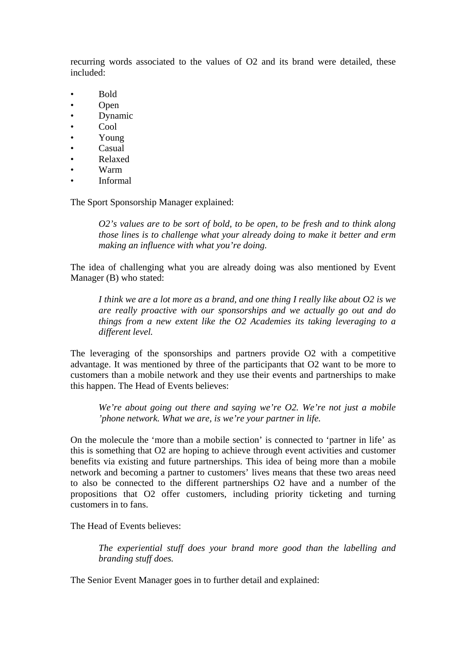recurring words associated to the values of O2 and its brand were detailed, these included:

- Bold
- Open
- Dynamic
- Cool
- Young
- Casual
- Relaxed
- Warm
- Informal

The Sport Sponsorship Manager explained:

*O2's values are to be sort of bold, to be open, to be fresh and to think along those lines is to challenge what your already doing to make it better and erm making an influence with what you're doing.* 

The idea of challenging what you are already doing was also mentioned by Event Manager (B) who stated:

*I think we are a lot more as a brand, and one thing I really like about O2 is we are really proactive with our sponsorships and we actually go out and do things from a new extent like the O2 Academies its taking leveraging to a different level.* 

The leveraging of the sponsorships and partners provide O2 with a competitive advantage. It was mentioned by three of the participants that O2 want to be more to customers than a mobile network and they use their events and partnerships to make this happen. The Head of Events believes:

*We're about going out there and saying we're O2. We're not just a mobile 'phone network. What we are, is we're your partner in life.* 

On the molecule the 'more than a mobile section' is connected to 'partner in life' as this is something that O2 are hoping to achieve through event activities and customer benefits via existing and future partnerships. This idea of being more than a mobile network and becoming a partner to customers' lives means that these two areas need to also be connected to the different partnerships O2 have and a number of the propositions that O2 offer customers, including priority ticketing and turning customers in to fans.

The Head of Events believes:

*The experiential stuff does your brand more good than the labelling and branding stuff does.* 

The Senior Event Manager goes in to further detail and explained: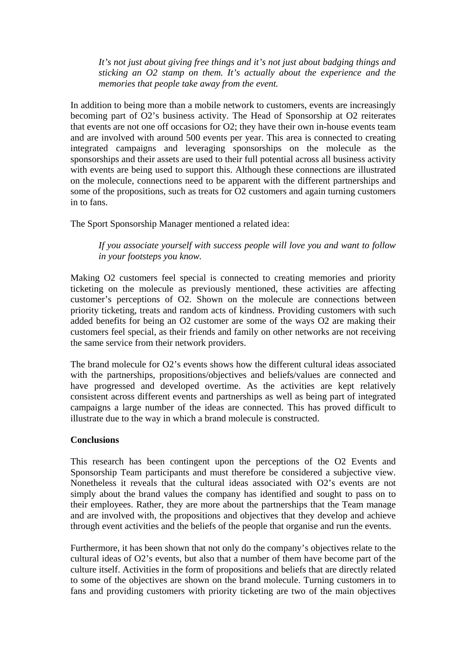*It's not just about giving free things and it's not just about badging things and sticking an O2 stamp on them. It's actually about the experience and the memories that people take away from the event.* 

In addition to being more than a mobile network to customers, events are increasingly becoming part of O2's business activity. The Head of Sponsorship at O2 reiterates that events are not one off occasions for O2; they have their own in-house events team and are involved with around 500 events per year. This area is connected to creating integrated campaigns and leveraging sponsorships on the molecule as the sponsorships and their assets are used to their full potential across all business activity with events are being used to support this. Although these connections are illustrated on the molecule, connections need to be apparent with the different partnerships and some of the propositions, such as treats for O2 customers and again turning customers in to fans.

The Sport Sponsorship Manager mentioned a related idea:

*If you associate yourself with success people will love you and want to follow in your footsteps you know.* 

Making O2 customers feel special is connected to creating memories and priority ticketing on the molecule as previously mentioned, these activities are affecting customer's perceptions of O2. Shown on the molecule are connections between priority ticketing, treats and random acts of kindness. Providing customers with such added benefits for being an O2 customer are some of the ways O2 are making their customers feel special, as their friends and family on other networks are not receiving the same service from their network providers.

The brand molecule for O2's events shows how the different cultural ideas associated with the partnerships, propositions/objectives and beliefs/values are connected and have progressed and developed overtime. As the activities are kept relatively consistent across different events and partnerships as well as being part of integrated campaigns a large number of the ideas are connected. This has proved difficult to illustrate due to the way in which a brand molecule is constructed.

# **Conclusions**

This research has been contingent upon the perceptions of the O2 Events and Sponsorship Team participants and must therefore be considered a subjective view. Nonetheless it reveals that the cultural ideas associated with O2's events are not simply about the brand values the company has identified and sought to pass on to their employees. Rather, they are more about the partnerships that the Team manage and are involved with, the propositions and objectives that they develop and achieve through event activities and the beliefs of the people that organise and run the events.

Furthermore, it has been shown that not only do the company's objectives relate to the cultural ideas of O2's events, but also that a number of them have become part of the culture itself. Activities in the form of propositions and beliefs that are directly related to some of the objectives are shown on the brand molecule. Turning customers in to fans and providing customers with priority ticketing are two of the main objectives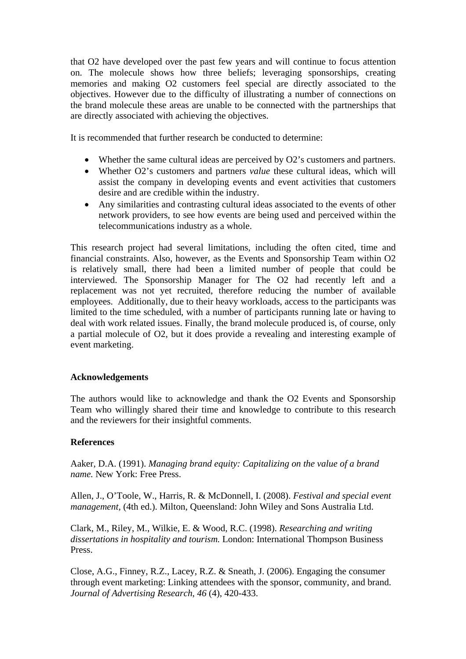that O2 have developed over the past few years and will continue to focus attention on. The molecule shows how three beliefs; leveraging sponsorships, creating memories and making O2 customers feel special are directly associated to the objectives. However due to the difficulty of illustrating a number of connections on the brand molecule these areas are unable to be connected with the partnerships that are directly associated with achieving the objectives.

It is recommended that further research be conducted to determine:

- Whether the same cultural ideas are perceived by O2's customers and partners.
- Whether O2's customers and partners *value* these cultural ideas, which will assist the company in developing events and event activities that customers desire and are credible within the industry.
- Any similarities and contrasting cultural ideas associated to the events of other network providers, to see how events are being used and perceived within the telecommunications industry as a whole.

This research project had several limitations, including the often cited, time and financial constraints. Also, however, as the Events and Sponsorship Team within O2 is relatively small, there had been a limited number of people that could be interviewed. The Sponsorship Manager for The O2 had recently left and a replacement was not yet recruited, therefore reducing the number of available employees. Additionally, due to their heavy workloads, access to the participants was limited to the time scheduled, with a number of participants running late or having to deal with work related issues. Finally, the brand molecule produced is, of course, only a partial molecule of O2, but it does provide a revealing and interesting example of event marketing.

# **Acknowledgements**

The authors would like to acknowledge and thank the O2 Events and Sponsorship Team who willingly shared their time and knowledge to contribute to this research and the reviewers for their insightful comments.

# **References**

Aaker, D.A. (1991). *Managing brand equity: Capitalizing on the value of a brand name.* New York: Free Press.

Allen, J., O'Toole, W., Harris, R. & McDonnell, I. (2008). *Festival and special event management,* (4th ed.). Milton, Queensland: John Wiley and Sons Australia Ltd.

Clark, M., Riley, M., Wilkie, E. & Wood, R.C. (1998). *Researching and writing dissertations in hospitality and tourism.* London: International Thompson Business Press.

Close, A.G., Finney, R.Z., Lacey, R.Z. & Sneath, J. (2006). Engaging the consumer through event marketing: Linking attendees with the sponsor, community, and brand. *Journal of Advertising Research*, *46* (4), 420-433.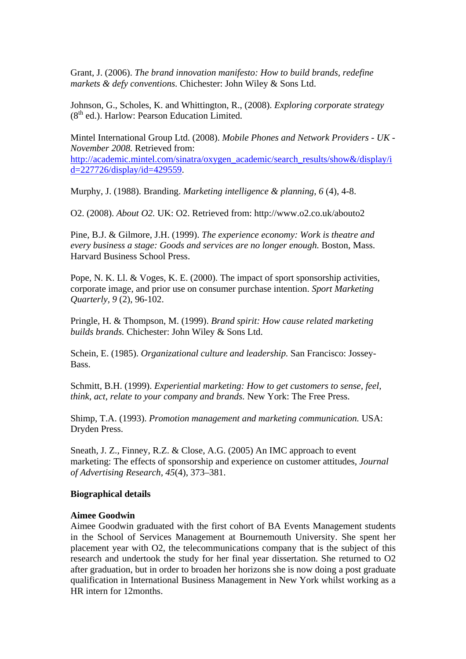Grant, J. (2006). *The brand innovation manifesto: How to build brands, redefine markets & defy conventions.* Chichester: John Wiley & Sons Ltd.

Johnson, G., Scholes, K. and Whittington, R., (2008). *Exploring corporate strategy*  $(8<sup>th</sup>$  ed.). Harlow: Pearson Education Limited.

Mintel International Group Ltd. (2008). *Mobile Phones and Network Providers - UK - November 2008.* Retrieved from: http://academic.mintel.com/sinatra/oxygen\_academic/search\_results/show&/display/i d=227726/display/id=429559.

Murphy, J. (1988). Branding. *Marketing intelligence & planning*, *6* (4), 4-8.

O2. (2008). *About O2.* UK: O2. Retrieved from: http://www.o2.co.uk/abouto2

Pine, B.J. & Gilmore, J.H. (1999). *The experience economy: Work is theatre and every business a stage: Goods and services are no longer enough.* Boston, Mass. Harvard Business School Press.

Pope, N. K. Ll. & Voges, K. E. (2000). The impact of sport sponsorship activities, corporate image, and prior use on consumer purchase intention. *Sport Marketing Quarterly, 9* (2), 96-102.

Pringle, H. & Thompson, M. (1999). *Brand spirit: How cause related marketing builds brands.* Chichester: John Wiley & Sons Ltd.

Schein, E. (1985). *Organizational culture and leadership.* San Francisco: Jossey-Bass.

Schmitt, B.H. (1999). *Experiential marketing: How to get customers to sense, feel, think, act, relate to your company and brands.* New York: The Free Press.

Shimp, T.A. (1993). *Promotion management and marketing communication.* USA: Dryden Press.

Sneath, J. Z., Finney, R.Z. & Close, A.G. (2005) An IMC approach to event marketing: The effects of sponsorship and experience on customer attitudes, *Journal of Advertising Research, 45*(4), 373–381.

#### **Biographical details**

#### **Aimee Goodwin**

Aimee Goodwin graduated with the first cohort of BA Events Management students in the School of Services Management at Bournemouth University. She spent her placement year with O2, the telecommunications company that is the subject of this research and undertook the study for her final year dissertation. She returned to O2 after graduation, but in order to broaden her horizons she is now doing a post graduate qualification in International Business Management in New York whilst working as a HR intern for 12months.